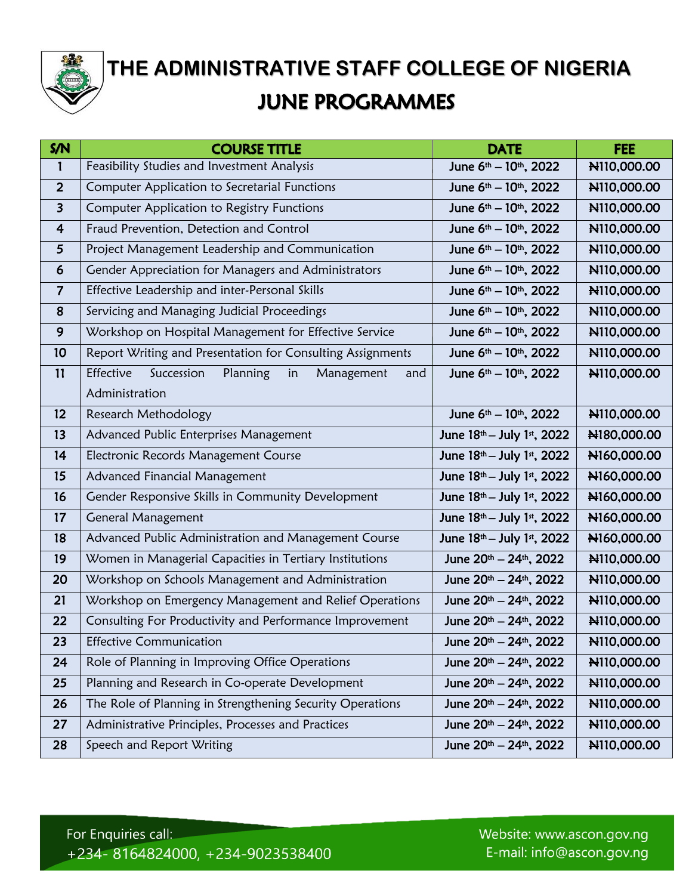

 **② THE ADMINISTRATIVE STAFF COLLEGE OF NIGERIA JUNE PROGRAMMES** 

| S/N                     | <b>COURSE TITLE</b>                                            | <b>DATE</b>                                    | <b>FEE</b>  |
|-------------------------|----------------------------------------------------------------|------------------------------------------------|-------------|
| 1                       | Feasibility Studies and Investment Analysis                    | June 6 <sup>th</sup> - 10 <sup>th</sup> , 2022 | N110,000.00 |
| $\overline{2}$          | Computer Application to Secretarial Functions                  | June 6 <sup>th</sup> - 10 <sup>th</sup> , 2022 | N110,000.00 |
| $\overline{\mathbf{3}}$ | Computer Application to Registry Functions                     | June 6 <sup>th</sup> - 10 <sup>th</sup> , 2022 | N110,000.00 |
| 4                       | Fraud Prevention, Detection and Control                        | June 6 <sup>th</sup> - 10 <sup>th</sup> , 2022 | N110,000.00 |
| 5                       | Project Management Leadership and Communication                | June 6 <sup>th</sup> – 10 <sup>th</sup> , 2022 | N110,000.00 |
| 6                       | Gender Appreciation for Managers and Administrators            | June 6th - 10th, 2022                          | N110,000.00 |
| $\overline{7}$          | Effective Leadership and inter-Personal Skills                 | June 6 <sup>th</sup> - 10 <sup>th</sup> , 2022 | N110,000.00 |
| 8                       | Servicing and Managing Judicial Proceedings                    | June 6th - 10th, 2022                          | N110,000.00 |
| 9                       | Workshop on Hospital Management for Effective Service          | June 6 <sup>th</sup> - 10 <sup>th</sup> , 2022 | N110,000.00 |
| 10                      | Report Writing and Presentation for Consulting Assignments     | June 6 <sup>th</sup> - 10 <sup>th</sup> , 2022 | N110,000.00 |
| 11                      | Effective<br>Succession<br>Planning<br>Management<br>in<br>and | June 6th - 10th, 2022                          | N110,000.00 |
|                         | Administration                                                 |                                                |             |
| 12                      | Research Methodology                                           | June 6th - 10th, 2022                          | N110,000.00 |
| 13                      | Advanced Public Enterprises Management                         | June 18th - July 1st, 2022                     | N180,000.00 |
| 14                      | Electronic Records Management Course                           | June 18th - July 1st, 2022                     | N160,000.00 |
| 15                      | Advanced Financial Management                                  | June 18th - July 1st, 2022                     | N160,000.00 |
| 16                      | Gender Responsive Skills in Community Development              | June 18th - July 1st, 2022                     | N160,000.00 |
| 17                      | <b>General Management</b>                                      | June 18th - July 1st, 2022                     | N160,000.00 |
| 18                      | Advanced Public Administration and Management Course           | June 18th - July 1st, 2022                     | N160,000.00 |
| 19                      | Women in Managerial Capacities in Tertiary Institutions        | June 20th - 24th, 2022                         | N110,000.00 |
| 20                      | Workshop on Schools Management and Administration              | June 20th - 24th, 2022                         | N110,000.00 |
| 21                      | Workshop on Emergency Management and Relief Operations         | June 20th - 24th, 2022                         | N110,000.00 |
| 22                      | Consulting For Productivity and Performance Improvement        | June 20th - 24th, 2022                         | N110,000.00 |
| 23                      | <b>Effective Communication</b>                                 | June 20th - 24th, 2022                         | N110,000.00 |
| 24                      | Role of Planning in Improving Office Operations                | June 20th - 24th, 2022                         | N110,000.00 |
| 25                      | Planning and Research in Co-operate Development                | June 20th - 24th, 2022                         | N110,000.00 |
| 26                      | The Role of Planning in Strengthening Security Operations      | June 20th – 24th, 2022                         | N110,000.00 |
| 27                      | Administrative Principles, Processes and Practices             | June 20th - 24th, 2022                         | N110,000.00 |
| 28                      | Speech and Report Writing                                      | June 20th - 24th, 2022                         | N110,000.00 |